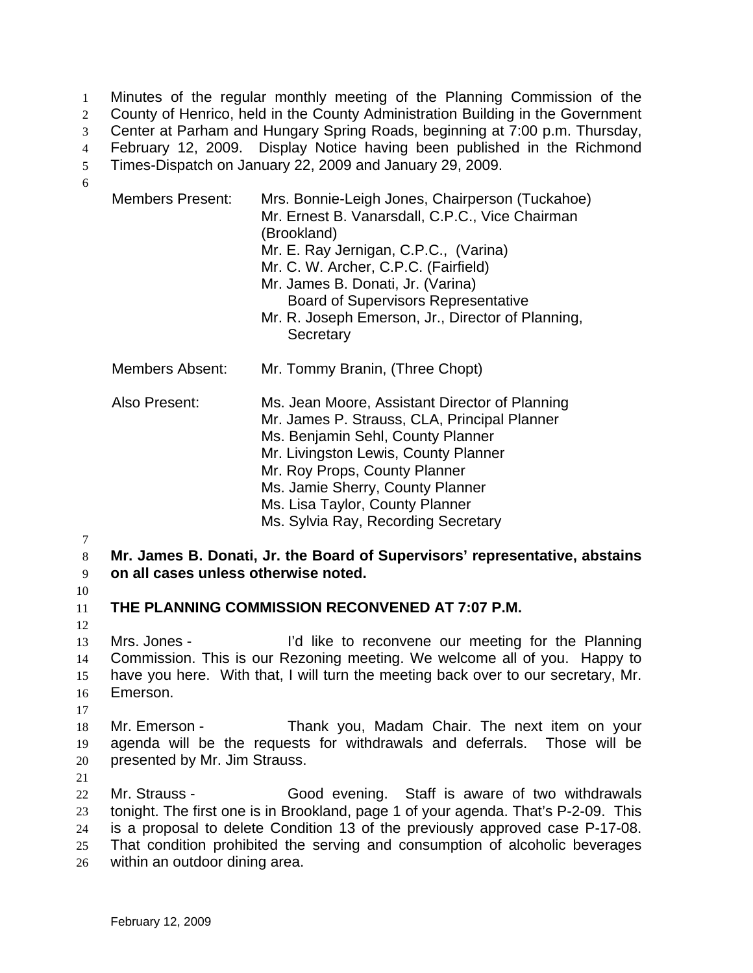Minutes of the regular monthly meeting of the Planning Commission of the County of Henrico, held in the County Administration Building in the Government Center at Parham and Hungary Spring Roads, beginning at 7:00 p.m. Thursday, February 12, 2009. Display Notice having been published in the Richmond Times-Dispatch on January 22, 2009 and January 29, 2009. 1  $2<sup>2</sup>$ 3 4 5 6

| <b>Members Present:</b> | Mrs. Bonnie-Leigh Jones, Chairperson (Tuckahoe)<br>Mr. Ernest B. Vanarsdall, C.P.C., Vice Chairman<br>(Brookland)<br>Mr. E. Ray Jernigan, C.P.C., (Varina)<br>Mr. C. W. Archer, C.P.C. (Fairfield)<br>Mr. James B. Donati, Jr. (Varina)<br><b>Board of Supervisors Representative</b><br>Mr. R. Joseph Emerson, Jr., Director of Planning,<br>Secretary |
|-------------------------|---------------------------------------------------------------------------------------------------------------------------------------------------------------------------------------------------------------------------------------------------------------------------------------------------------------------------------------------------------|
| Members Absent:         | Mr. Tommy Branin, (Three Chopt)                                                                                                                                                                                                                                                                                                                         |
| Also Present:           | Ms. Jean Moore, Assistant Director of Planning<br>Mr. James P. Strauss, CLA, Principal Planner<br>Ms. Benjamin Sehl, County Planner<br>Mr. Livingston Lewis, County Planner<br>Mr. Roy Props, County Planner<br>Ms. Jamie Sherry, County Planner<br>Ms. Lisa Taylor, County Planner<br>Ms. Sylvia Ray, Recording Secretary                              |

7

8 9 **Mr. James B. Donati, Jr. the Board of Supervisors' representative, abstains on all cases unless otherwise noted.** 

10

12

11

**THE PLANNING COMMISSION RECONVENED AT 7:07 P.M.** 

13 14 15 16 Mrs. Jones - I'd like to reconvene our meeting for the Planning Commission. This is our Rezoning meeting. We welcome all of you. Happy to have you here. With that, I will turn the meeting back over to our secretary, Mr. Emerson.

17

18 19 20 Mr. Emerson - Thank you, Madam Chair. The next item on your agenda will be the requests for withdrawals and deferrals. Those will be presented by Mr. Jim Strauss.

21

22 23 24 25 26 Mr. Strauss - Good evening. Staff is aware of two withdrawals tonight. The first one is in Brookland, page 1 of your agenda. That's P-2-09. This is a proposal to delete Condition 13 of the previously approved case P-17-08. That condition prohibited the serving and consumption of alcoholic beverages within an outdoor dining area.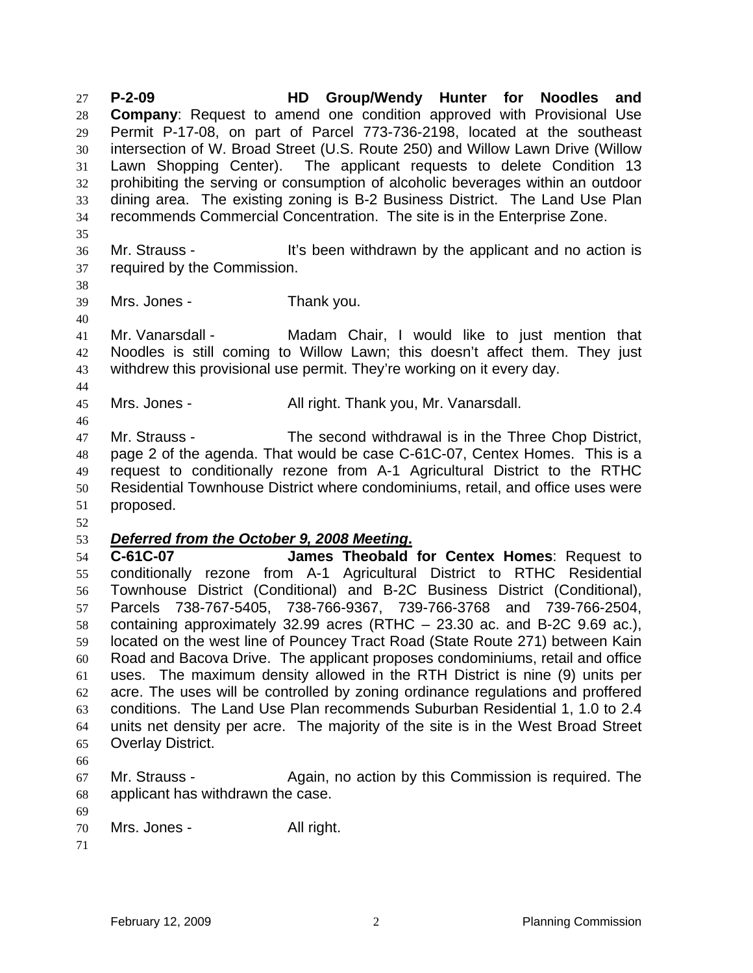**P-2-09 HD Group/Wendy Hunter for Noodles and Company**: Request to amend one condition approved with Provisional Use Permit P-17-08, on part of Parcel 773-736-2198, located at the southeast intersection of W. Broad Street (U.S. Route 250) and Willow Lawn Drive (Willow Lawn Shopping Center). The applicant requests to delete Condition 13 prohibiting the serving or consumption of alcoholic beverages within an outdoor dining area. The existing zoning is B-2 Business District. The Land Use Plan recommends Commercial Concentration. The site is in the Enterprise Zone. 27 28 29 30 31 32 33 34 35 36 37 Mr. Strauss - The Strauss of the strategies it's been withdrawn by the applicant and no action is required by the Commission.

38 39

40

44

46

Mrs. Jones - Thank you.

41 42 43 Mr. Vanarsdall - Madam Chair, I would like to just mention that Noodles is still coming to Willow Lawn; this doesn't affect them. They just withdrew this provisional use permit. They're working on it every day.

45 Mrs. Jones - **All right. Thank you, Mr. Vanarsdall.** 

47 48 49 50 51 Mr. Strauss - The second withdrawal is in the Three Chop District, page 2 of the agenda. That would be case C-61C-07, Centex Homes. This is a request to conditionally rezone from A-1 Agricultural District to the RTHC Residential Townhouse District where condominiums, retail, and office uses were proposed.

52

## 53 *Deferred from the October 9, 2008 Meeting***.**

54 55 56 57 58 59 60 61 62 63 64 65 **C-61C-07 James Theobald for Centex Homes**: Request to conditionally rezone from A-1 Agricultural District to RTHC Residential Townhouse District (Conditional) and B-2C Business District (Conditional), Parcels 738-767-5405, 738-766-9367, 739-766-3768 and 739-766-2504, containing approximately 32.99 acres (RTHC – 23.30 ac. and B-2C 9.69 ac.), located on the west line of Pouncey Tract Road (State Route 271) between Kain Road and Bacova Drive. The applicant proposes condominiums, retail and office uses. The maximum density allowed in the RTH District is nine (9) units per acre. The uses will be controlled by zoning ordinance regulations and proffered conditions. The Land Use Plan recommends Suburban Residential 1, 1.0 to 2.4 units net density per acre. The majority of the site is in the West Broad Street Overlay District.

66

67 68 69 Mr. Strauss - Again, no action by this Commission is required. The applicant has withdrawn the case.

70 Mrs. Jones - All right.

71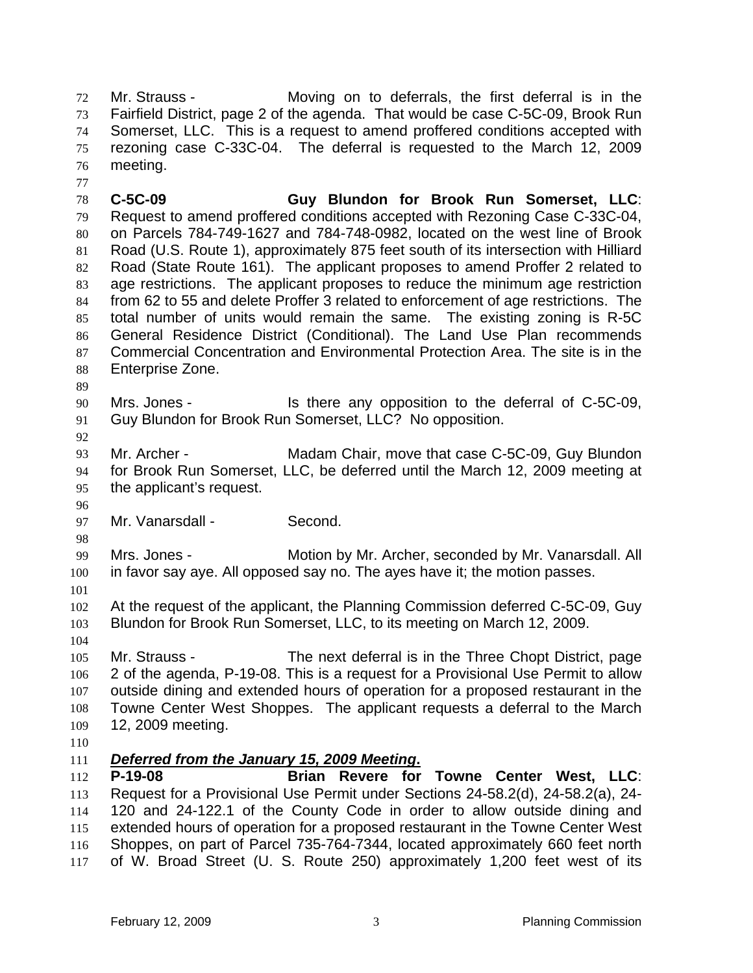Mr. Strauss - The Moving on to deferrals, the first deferral is in the Fairfield District, page 2 of the agenda. That would be case C-5C-09, Brook Run Somerset, LLC. This is a request to amend proffered conditions accepted with rezoning case C-33C-04. The deferral is requested to the March 12, 2009 meeting. 72 73 74 75 76

78 79 80 81 82 83 84 85 86 87 88 **C-5C-09 Guy Blundon for Brook Run Somerset, LLC**: Request to amend proffered conditions accepted with Rezoning Case C-33C-04, on Parcels 784-749-1627 and 784-748-0982, located on the west line of Brook Road (U.S. Route 1), approximately 875 feet south of its intersection with Hilliard Road (State Route 161). The applicant proposes to amend Proffer 2 related to age restrictions. The applicant proposes to reduce the minimum age restriction from 62 to 55 and delete Proffer 3 related to enforcement of age restrictions. The total number of units would remain the same. The existing zoning is R-5C General Residence District (Conditional). The Land Use Plan recommends Commercial Concentration and Environmental Protection Area. The site is in the Enterprise Zone.

89

92

77

90 91 Mrs. Jones - Is there any opposition to the deferral of C-5C-09, Guy Blundon for Brook Run Somerset, LLC? No opposition.

93 94 95 Mr. Archer - Madam Chair, move that case C-5C-09, Guy Blundon for Brook Run Somerset, LLC, be deferred until the March 12, 2009 meeting at the applicant's request.

- 96 97 Mr. Vanarsdall - Second.
- 98

99 100 Mrs. Jones - Motion by Mr. Archer, seconded by Mr. Vanarsdall. All in favor say aye. All opposed say no. The ayes have it; the motion passes.

101

102 103 At the request of the applicant, the Planning Commission deferred C-5C-09, Guy Blundon for Brook Run Somerset, LLC, to its meeting on March 12, 2009.

104

105 106 107 108 109 Mr. Strauss - The next deferral is in the Three Chopt District, page 2 of the agenda, P-19-08. This is a request for a Provisional Use Permit to allow outside dining and extended hours of operation for a proposed restaurant in the Towne Center West Shoppes. The applicant requests a deferral to the March 12, 2009 meeting.

110

## 111 *Deferred from the January 15, 2009 Meeting***.**

112 113 114 115 116 117 **P-19-08 Brian Revere for Towne Center West, LLC**: Request for a Provisional Use Permit under Sections 24-58.2(d), 24-58.2(a), 24- 120 and 24-122.1 of the County Code in order to allow outside dining and extended hours of operation for a proposed restaurant in the Towne Center West Shoppes, on part of Parcel 735-764-7344, located approximately 660 feet north of W. Broad Street (U. S. Route 250) approximately 1,200 feet west of its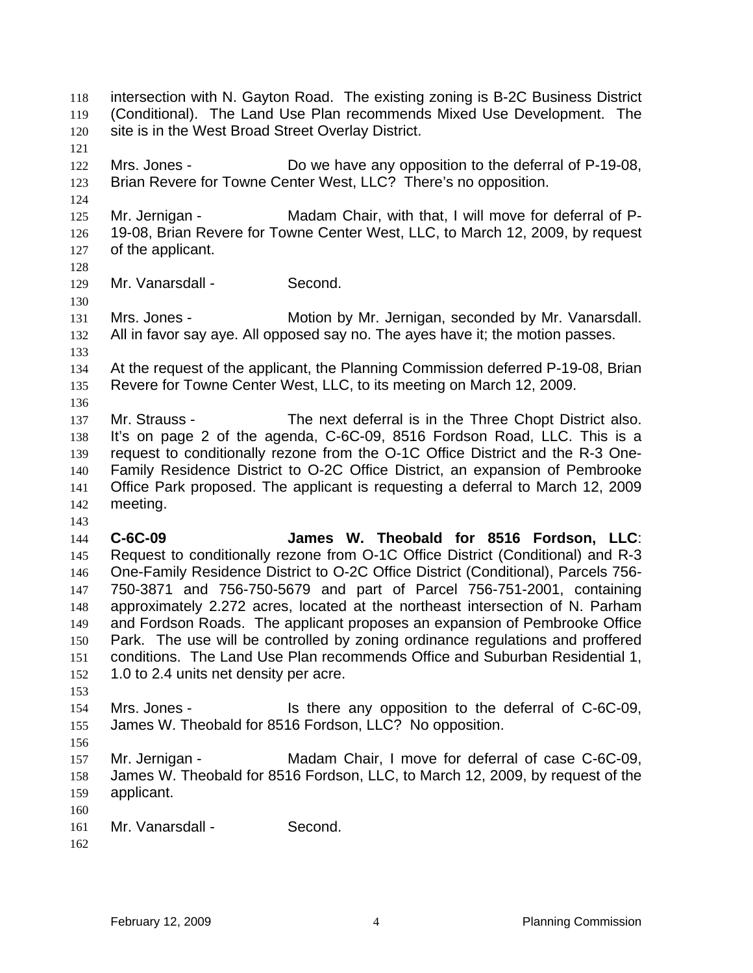intersection with N. Gayton Road. The existing zoning is B-2C Business District (Conditional). The Land Use Plan recommends Mixed Use Development. The site is in the West Broad Street Overlay District. 118 119 120 121 122 123 124 125 126 127 128 129 130 131 132 133 134 135 136 137 138 139 140 141 142 143 144 145 146 147 148 149 150 151 152 153 154 155 156 157 158 159 160 161 162 Mrs. Jones - Do we have any opposition to the deferral of P-19-08, Brian Revere for Towne Center West, LLC? There's no opposition. Mr. Jernigan - Madam Chair, with that, I will move for deferral of P-19-08, Brian Revere for Towne Center West, LLC, to March 12, 2009, by request of the applicant. Mr. Vanarsdall - Second. Mrs. Jones - **Motion by Mr. Jernigan, seconded by Mr. Vanarsdall.** All in favor say aye. All opposed say no. The ayes have it; the motion passes. At the request of the applicant, the Planning Commission deferred P-19-08, Brian Revere for Towne Center West, LLC, to its meeting on March 12, 2009. Mr. Strauss - The next deferral is in the Three Chopt District also. It's on page 2 of the agenda, C-6C-09, 8516 Fordson Road, LLC. This is a request to conditionally rezone from the O-1C Office District and the R-3 One-Family Residence District to O-2C Office District, an expansion of Pembrooke Office Park proposed. The applicant is requesting a deferral to March 12, 2009 meeting. **C-6C-09 James W. Theobald for 8516 Fordson, LLC**: Request to conditionally rezone from O-1C Office District (Conditional) and R-3 One-Family Residence District to O-2C Office District (Conditional), Parcels 756- 750-3871 and 756-750-5679 and part of Parcel 756-751-2001, containing approximately 2.272 acres, located at the northeast intersection of N. Parham and Fordson Roads. The applicant proposes an expansion of Pembrooke Office Park. The use will be controlled by zoning ordinance regulations and proffered conditions. The Land Use Plan recommends Office and Suburban Residential 1, 1.0 to 2.4 units net density per acre. Mrs. Jones - Is there any opposition to the deferral of C-6C-09, James W. Theobald for 8516 Fordson, LLC? No opposition. Mr. Jernigan - Madam Chair, I move for deferral of case C-6C-09, James W. Theobald for 8516 Fordson, LLC, to March 12, 2009, by request of the applicant. Mr. Vanarsdall - Second.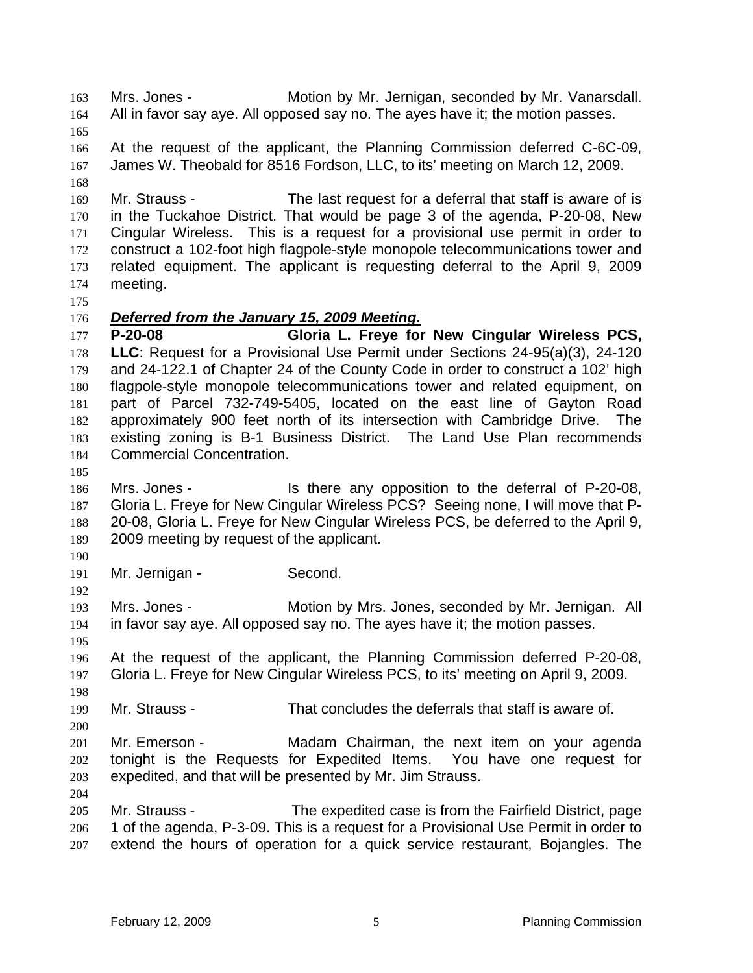Mrs. Jones - Motion by Mr. Jernigan, seconded by Mr. Vanarsdall. All in favor say aye. All opposed say no. The ayes have it; the motion passes. 163 164 165 166 167 168 169 170 171 172 173 174 175 At the request of the applicant, the Planning Commission deferred C-6C-09, James W. Theobald for 8516 Fordson, LLC, to its' meeting on March 12, 2009. Mr. Strauss - The last request for a deferral that staff is aware of is in the Tuckahoe District. That would be page 3 of the agenda, P-20-08, New Cingular Wireless. This is a request for a provisional use permit in order to construct a 102-foot high flagpole-style monopole telecommunications tower and related equipment. The applicant is requesting deferral to the April 9, 2009 meeting. 176 *Deferred from the January 15, 2009 Meeting.* 177 178 179 180 181 182 183 184 185 186 187 188 189 190 191 192 193 194 195 196 197 198 199 200 201 202 203 204 205 206 207 **P-20-08 Gloria L. Freye for New Cingular Wireless PCS, LLC**: Request for a Provisional Use Permit under Sections 24-95(a)(3), 24-120 and 24-122.1 of Chapter 24 of the County Code in order to construct a 102' high flagpole-style monopole telecommunications tower and related equipment, on part of Parcel 732-749-5405, located on the east line of Gayton Road approximately 900 feet north of its intersection with Cambridge Drive. The existing zoning is B-1 Business District. The Land Use Plan recommends Commercial Concentration. Mrs. Jones - Is there any opposition to the deferral of P-20-08, Gloria L. Freye for New Cingular Wireless PCS? Seeing none, I will move that P-20-08, Gloria L. Freye for New Cingular Wireless PCS, be deferred to the April 9, 2009 meeting by request of the applicant. Mr. Jernigan - Second. Mrs. Jones - **Motion by Mrs. Jones, seconded by Mr. Jernigan.** All in favor say aye. All opposed say no. The ayes have it; the motion passes. At the request of the applicant, the Planning Commission deferred P-20-08, Gloria L. Freye for New Cingular Wireless PCS, to its' meeting on April 9, 2009. Mr. Strauss - That concludes the deferrals that staff is aware of. Mr. Emerson - **Madam Chairman**, the next item on your agenda tonight is the Requests for Expedited Items. You have one request for expedited, and that will be presented by Mr. Jim Strauss. Mr. Strauss - The expedited case is from the Fairfield District, page 1 of the agenda, P-3-09. This is a request for a Provisional Use Permit in order to extend the hours of operation for a quick service restaurant, Bojangles. The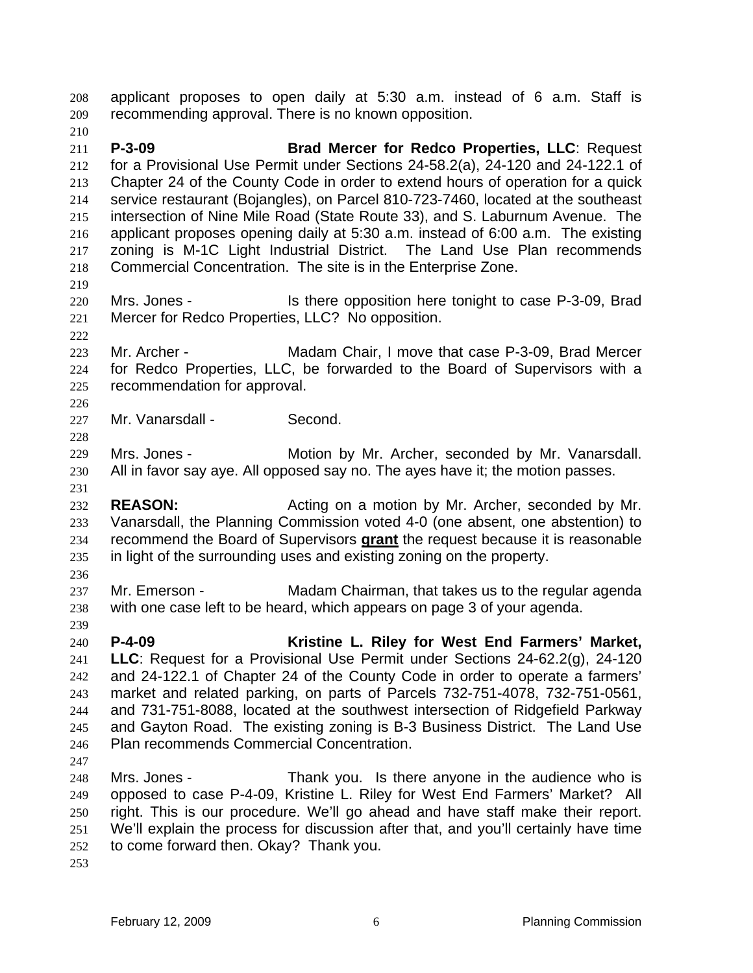applicant proposes to open daily at 5:30 a.m. instead of 6 a.m. Staff is recommending approval. There is no known opposition. 208 209 210 211 212 213 214 215 216 217 218 219 220 221 222 223 224 225 226 227 228 229 230 231 232 233 **P-3-09 Brad Mercer for Redco Properties, LLC**: Request for a Provisional Use Permit under Sections 24-58.2(a), 24-120 and 24-122.1 of Chapter 24 of the County Code in order to extend hours of operation for a quick service restaurant (Bojangles), on Parcel 810-723-7460, located at the southeast intersection of Nine Mile Road (State Route 33), and S. Laburnum Avenue. The applicant proposes opening daily at 5:30 a.m. instead of 6:00 a.m. The existing zoning is M-1C Light Industrial District. The Land Use Plan recommends Commercial Concentration. The site is in the Enterprise Zone. Mrs. Jones - Is there opposition here tonight to case P-3-09, Brad Mercer for Redco Properties, LLC? No opposition. Mr. Archer - **Madam Chair, I move that case P-3-09, Brad Mercer** for Redco Properties, LLC, be forwarded to the Board of Supervisors with a recommendation for approval. Mr. Vanarsdall - Second. Mrs. Jones - **Motion by Mr. Archer, seconded by Mr. Vanarsdall.** All in favor say aye. All opposed say no. The ayes have it; the motion passes. **REASON:** Acting on a motion by Mr. Archer, seconded by Mr. Vanarsdall, the Planning Commission voted 4-0 (one absent, one abstention) to recommend the Board of Supervisors **grant** the request because it is reasonable in light of the surrounding uses and existing zoning on the property. 234 235 236 237 238 239 240 241 242 243 244 245 246 247 248 249 250 251 252 Mr. Emerson - Madam Chairman, that takes us to the regular agenda with one case left to be heard, which appears on page 3 of your agenda. **P-4-09 Kristine L. Riley for West End Farmers' Market, LLC**: Request for a Provisional Use Permit under Sections 24-62.2(g), 24-120 and 24-122.1 of Chapter 24 of the County Code in order to operate a farmers' market and related parking, on parts of Parcels 732-751-4078, 732-751-0561, and 731-751-8088, located at the southwest intersection of Ridgefield Parkway and Gayton Road. The existing zoning is B-3 Business District. The Land Use Plan recommends Commercial Concentration. Mrs. Jones - Thank you. Is there anyone in the audience who is opposed to case P-4-09, Kristine L. Riley for West End Farmers' Market? All right. This is our procedure. We'll go ahead and have staff make their report. We'll explain the process for discussion after that, and you'll certainly have time to come forward then. Okay? Thank you.

253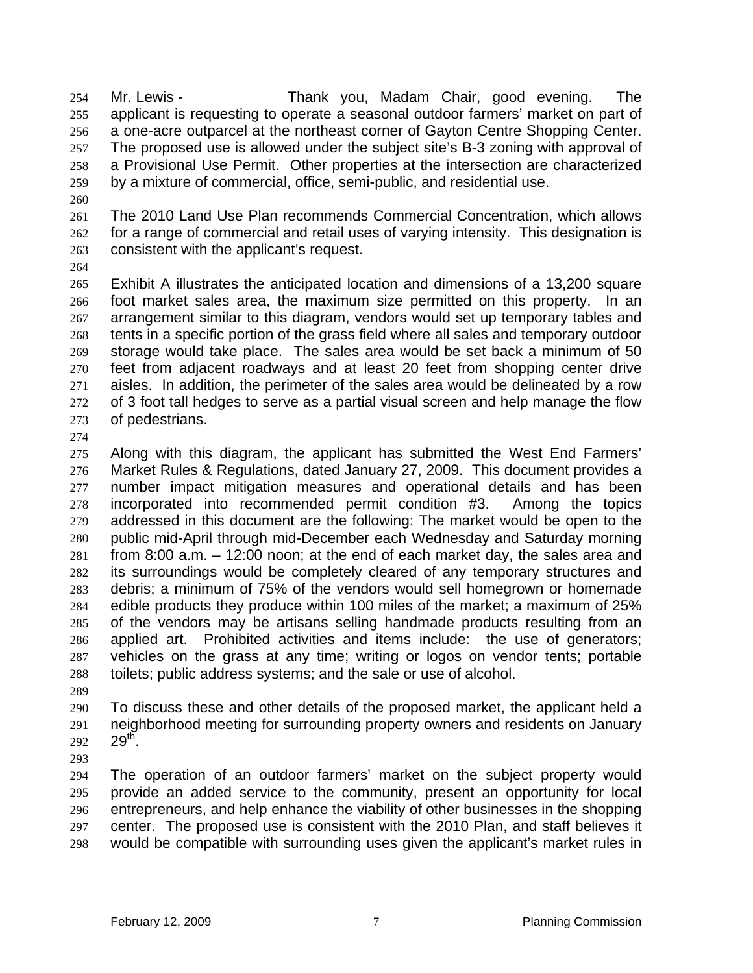Mr. Lewis - Thank you, Madam Chair, good evening. The applicant is requesting to operate a seasonal outdoor farmers' market on part of a one-acre outparcel at the northeast corner of Gayton Centre Shopping Center. The proposed use is allowed under the subject site's B-3 zoning with approval of a Provisional Use Permit. Other properties at the intersection are characterized by a mixture of commercial, office, semi-public, and residential use. 254 255 256 257 258 259

260

261 262 263 The 2010 Land Use Plan recommends Commercial Concentration, which allows for a range of commercial and retail uses of varying intensity. This designation is consistent with the applicant's request.

264

265 266 267 268 269 270 271 272 273 Exhibit A illustrates the anticipated location and dimensions of a 13,200 square foot market sales area, the maximum size permitted on this property. In an arrangement similar to this diagram, vendors would set up temporary tables and tents in a specific portion of the grass field where all sales and temporary outdoor storage would take place. The sales area would be set back a minimum of 50 feet from adjacent roadways and at least 20 feet from shopping center drive aisles. In addition, the perimeter of the sales area would be delineated by a row of 3 foot tall hedges to serve as a partial visual screen and help manage the flow of pedestrians.

274

275 276 277 278 279 280 281 282 283 284 285 286 287 288 Along with this diagram, the applicant has submitted the West End Farmers' Market Rules & Regulations, dated January 27, 2009. This document provides a number impact mitigation measures and operational details and has been incorporated into recommended permit condition #3. Among the topics addressed in this document are the following: The market would be open to the public mid-April through mid-December each Wednesday and Saturday morning from 8:00 a.m. – 12:00 noon; at the end of each market day, the sales area and its surroundings would be completely cleared of any temporary structures and debris; a minimum of 75% of the vendors would sell homegrown or homemade edible products they produce within 100 miles of the market; a maximum of 25% of the vendors may be artisans selling handmade products resulting from an applied art. Prohibited activities and items include: the use of generators; vehicles on the grass at any time; writing or logos on vendor tents; portable toilets; public address systems; and the sale or use of alcohol.

289

290 291 292 To discuss these and other details of the proposed market, the applicant held a neighborhood meeting for surrounding property owners and residents on January  $29<sup>th</sup>$ .

293

294 295 296 297 298 The operation of an outdoor farmers' market on the subject property would provide an added service to the community, present an opportunity for local entrepreneurs, and help enhance the viability of other businesses in the shopping center. The proposed use is consistent with the 2010 Plan, and staff believes it would be compatible with surrounding uses given the applicant's market rules in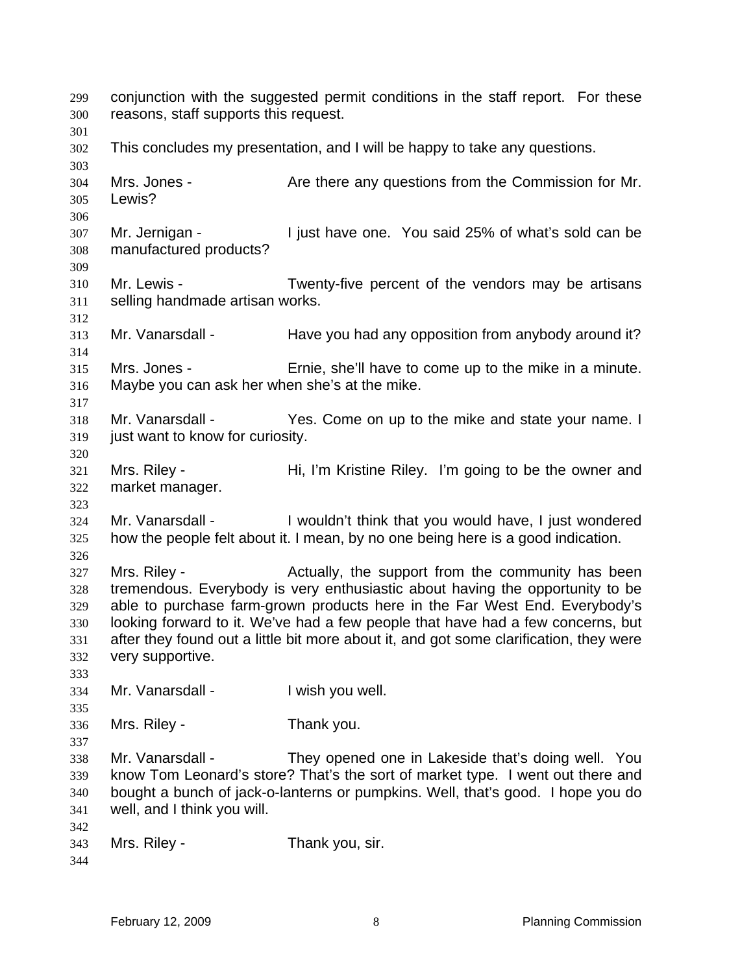conjunction with the suggested permit conditions in the staff report. For these reasons, staff supports this request. 299 300 301 302 303 304 305 306 307 308 309 310 311 312 313 314 315 316 317 318 319 320 321 322 323 324 325 326 327 328 329 330 331 332 333 334 335 336 337 338 339 340 341 342 343 344 This concludes my presentation, and I will be happy to take any questions. Mrs. Jones - The Are there any questions from the Commission for Mr. Lewis? Mr. Jernigan - I just have one. You said 25% of what's sold can be manufactured products? Mr. Lewis - Twenty-five percent of the vendors may be artisans selling handmade artisan works. Mr. Vanarsdall - Have you had any opposition from anybody around it? Mrs. Jones - Ernie, she'll have to come up to the mike in a minute. Maybe you can ask her when she's at the mike. Mr. Vanarsdall - The Yes. Come on up to the mike and state your name. I just want to know for curiosity. Mrs. Riley - **Hi, I'm Kristine Riley.** I'm going to be the owner and market manager. Mr. Vanarsdall - I wouldn't think that you would have, I just wondered how the people felt about it. I mean, by no one being here is a good indication. Mrs. Riley - The Actually, the support from the community has been tremendous. Everybody is very enthusiastic about having the opportunity to be able to purchase farm-grown products here in the Far West End. Everybody's looking forward to it. We've had a few people that have had a few concerns, but after they found out a little bit more about it, and got some clarification, they were very supportive. Mr. Vanarsdall - I wish you well. Mrs. Riley - Thank you. Mr. Vanarsdall - They opened one in Lakeside that's doing well. You know Tom Leonard's store? That's the sort of market type. I went out there and bought a bunch of jack-o-lanterns or pumpkins. Well, that's good. I hope you do well, and I think you will. Mrs. Riley - Thank you, sir.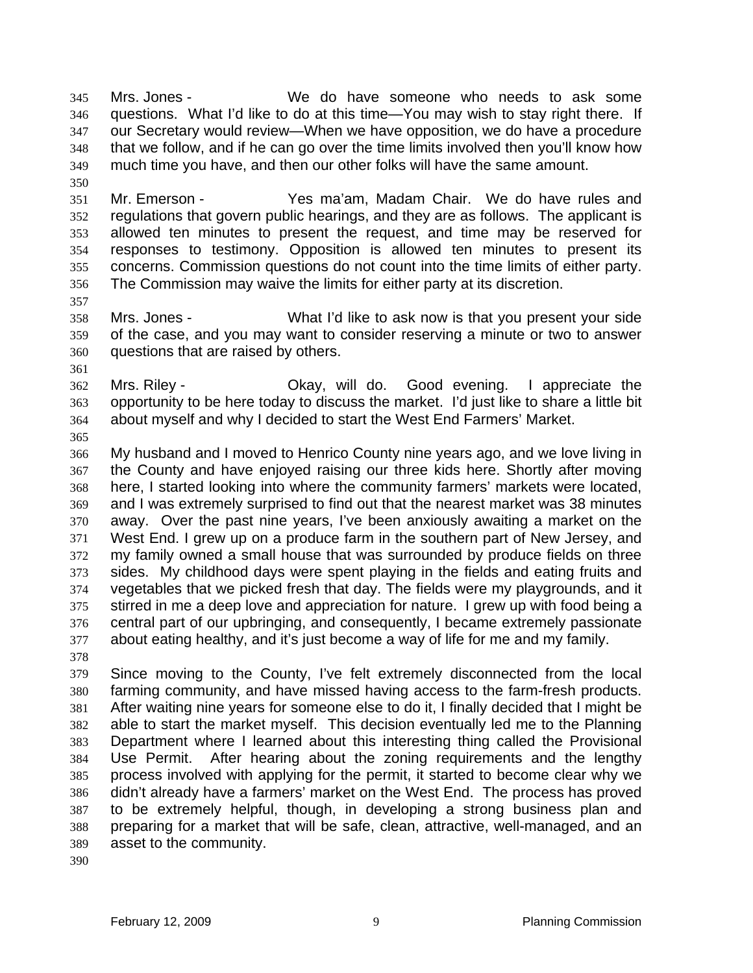Mrs. Jones - We do have someone who needs to ask some questions. What I'd like to do at this time—You may wish to stay right there. If our Secretary would review—When we have opposition, we do have a procedure that we follow, and if he can go over the time limits involved then you'll know how much time you have, and then our other folks will have the same amount. 345 346 347 348 349

351 352 353 354 355 356 Mr. Emerson - Yes ma'am, Madam Chair. We do have rules and regulations that govern public hearings, and they are as follows. The applicant is allowed ten minutes to present the request, and time may be reserved for responses to testimony. Opposition is allowed ten minutes to present its concerns. Commission questions do not count into the time limits of either party. The Commission may waive the limits for either party at its discretion.

357

350

358 359 360 Mrs. Jones - What I'd like to ask now is that you present your side of the case, and you may want to consider reserving a minute or two to answer questions that are raised by others.

361

362 363 364 Mrs. Riley - Okay, will do. Good evening. I appreciate the opportunity to be here today to discuss the market. I'd just like to share a little bit about myself and why I decided to start the West End Farmers' Market.

365

366 367 368 369 370 371 372 373 374 375 376 377 My husband and I moved to Henrico County nine years ago, and we love living in the County and have enjoyed raising our three kids here. Shortly after moving here, I started looking into where the community farmers' markets were located, and I was extremely surprised to find out that the nearest market was 38 minutes away. Over the past nine years, I've been anxiously awaiting a market on the West End. I grew up on a produce farm in the southern part of New Jersey, and my family owned a small house that was surrounded by produce fields on three sides. My childhood days were spent playing in the fields and eating fruits and vegetables that we picked fresh that day. The fields were my playgrounds, and it stirred in me a deep love and appreciation for nature. I grew up with food being a central part of our upbringing, and consequently, I became extremely passionate about eating healthy, and it's just become a way of life for me and my family.

378

379 380 381 382 383 384 385 386 387 388 389 Since moving to the County, I've felt extremely disconnected from the local farming community, and have missed having access to the farm-fresh products. After waiting nine years for someone else to do it, I finally decided that I might be able to start the market myself. This decision eventually led me to the Planning Department where I learned about this interesting thing called the Provisional Use Permit. After hearing about the zoning requirements and the lengthy process involved with applying for the permit, it started to become clear why we didn't already have a farmers' market on the West End. The process has proved to be extremely helpful, though, in developing a strong business plan and preparing for a market that will be safe, clean, attractive, well-managed, and an asset to the community.

390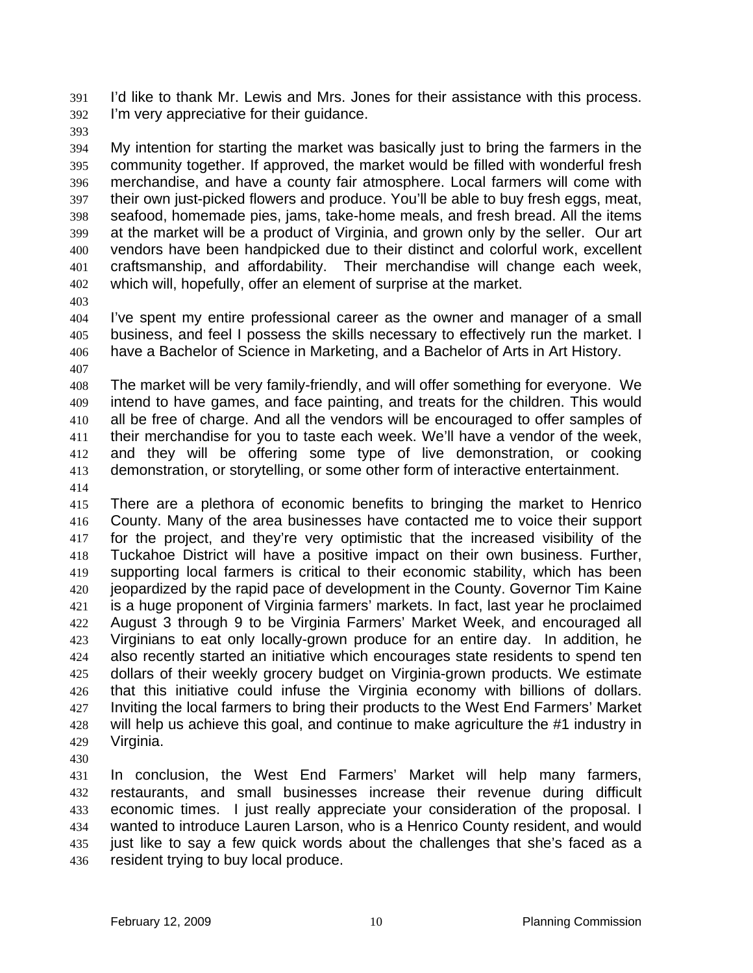I'd like to thank Mr. Lewis and Mrs. Jones for their assistance with this process. I'm very appreciative for their guidance. 391 392

393

394 395 396 397 398 399 400 401 402 My intention for starting the market was basically just to bring the farmers in the community together. If approved, the market would be filled with wonderful fresh merchandise, and have a county fair atmosphere. Local farmers will come with their own just-picked flowers and produce. You'll be able to buy fresh eggs, meat, seafood, homemade pies, jams, take-home meals, and fresh bread. All the items at the market will be a product of Virginia, and grown only by the seller. Our art vendors have been handpicked due to their distinct and colorful work, excellent craftsmanship, and affordability. Their merchandise will change each week, which will, hopefully, offer an element of surprise at the market.

403

404 405 406 I've spent my entire professional career as the owner and manager of a small business, and feel I possess the skills necessary to effectively run the market. I have a Bachelor of Science in Marketing, and a Bachelor of Arts in Art History.

407

408 409 410 411 412 413 The market will be very family-friendly, and will offer something for everyone. We intend to have games, and face painting, and treats for the children. This would all be free of charge. And all the vendors will be encouraged to offer samples of their merchandise for you to taste each week. We'll have a vendor of the week, and they will be offering some type of live demonstration, or cooking demonstration, or storytelling, or some other form of interactive entertainment.

414

415 416 417 418 419 420 421 422 423 424 425 426 427 428 429 There are a plethora of economic benefits to bringing the market to Henrico County. Many of the area businesses have contacted me to voice their support for the project, and they're very optimistic that the increased visibility of the Tuckahoe District will have a positive impact on their own business. Further, supporting local farmers is critical to their economic stability, which has been jeopardized by the rapid pace of development in the County. Governor Tim Kaine is a huge proponent of Virginia farmers' markets. In fact, last year he proclaimed August 3 through 9 to be Virginia Farmers' Market Week, and encouraged all Virginians to eat only locally-grown produce for an entire day. In addition, he also recently started an initiative which encourages state residents to spend ten dollars of their weekly grocery budget on Virginia-grown products. We estimate that this initiative could infuse the Virginia economy with billions of dollars. Inviting the local farmers to bring their products to the West End Farmers' Market will help us achieve this goal, and continue to make agriculture the #1 industry in Virginia.

430

431 432 433 434 435 436 In conclusion, the West End Farmers' Market will help many farmers, restaurants, and small businesses increase their revenue during difficult economic times. I just really appreciate your consideration of the proposal. I wanted to introduce Lauren Larson, who is a Henrico County resident, and would just like to say a few quick words about the challenges that she's faced as a resident trying to buy local produce.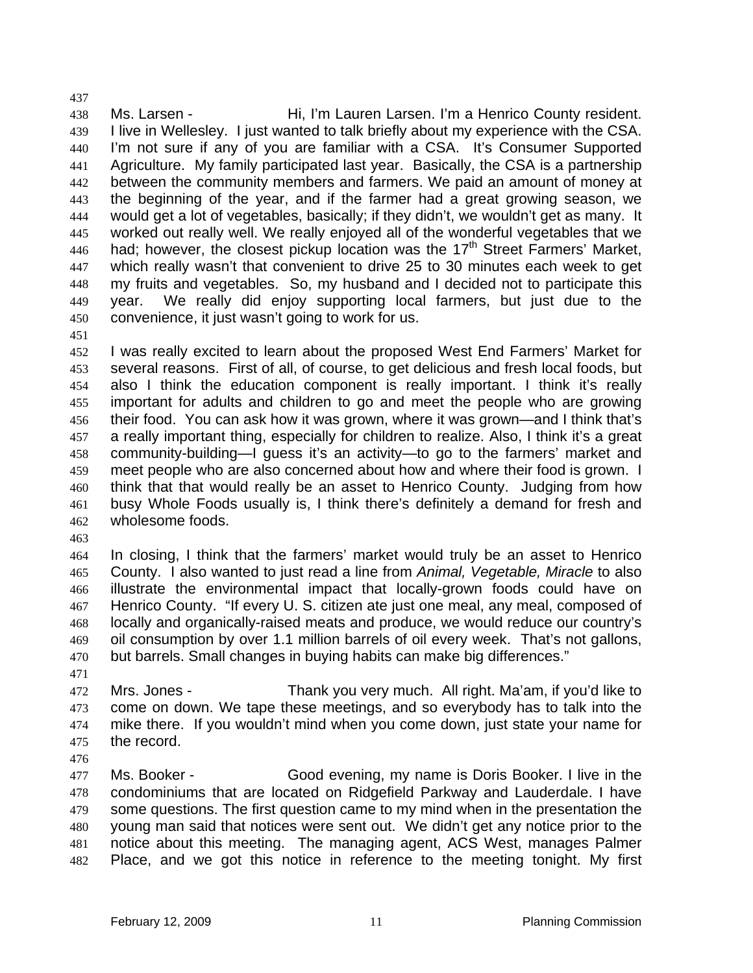438 439 440 441 442 443 444 445 446 447 448 449 450 Ms. Larsen - **Hi, I'm Lauren Larsen. I'm a Henrico County resident.** I live in Wellesley. I just wanted to talk briefly about my experience with the CSA. I'm not sure if any of you are familiar with a CSA. It's Consumer Supported Agriculture. My family participated last year. Basically, the CSA is a partnership between the community members and farmers. We paid an amount of money at the beginning of the year, and if the farmer had a great growing season, we would get a lot of vegetables, basically; if they didn't, we wouldn't get as many. It worked out really well. We really enjoyed all of the wonderful vegetables that we had; however, the closest pickup location was the  $17<sup>th</sup>$  Street Farmers' Market. which really wasn't that convenient to drive 25 to 30 minutes each week to get my fruits and vegetables. So, my husband and I decided not to participate this year. We really did enjoy supporting local farmers, but just due to the convenience, it just wasn't going to work for us.

451

437

452 453 454 455 456 457 458 459 460 461 462 I was really excited to learn about the proposed West End Farmers' Market for several reasons. First of all, of course, to get delicious and fresh local foods, but also I think the education component is really important. I think it's really important for adults and children to go and meet the people who are growing their food. You can ask how it was grown, where it was grown—and I think that's a really important thing, especially for children to realize. Also, I think it's a great community-building—I guess it's an activity—to go to the farmers' market and meet people who are also concerned about how and where their food is grown. I think that that would really be an asset to Henrico County. Judging from how busy Whole Foods usually is, I think there's definitely a demand for fresh and wholesome foods.

463

464 465 466 467 468 469 470 In closing, I think that the farmers' market would truly be an asset to Henrico County. I also wanted to just read a line from *Animal, Vegetable, Miracle* to also illustrate the environmental impact that locally-grown foods could have on Henrico County. "If every U. S. citizen ate just one meal, any meal, composed of locally and organically-raised meats and produce, we would reduce our country's oil consumption by over 1.1 million barrels of oil every week. That's not gallons, but barrels. Small changes in buying habits can make big differences."

471

472 473 474 475 Mrs. Jones - Thank you very much. All right. Ma'am, if you'd like to come on down. We tape these meetings, and so everybody has to talk into the mike there. If you wouldn't mind when you come down, just state your name for the record.

476

477 478 479 480 481 482 Ms. Booker - Good evening, my name is Doris Booker. I live in the condominiums that are located on Ridgefield Parkway and Lauderdale. I have some questions. The first question came to my mind when in the presentation the young man said that notices were sent out. We didn't get any notice prior to the notice about this meeting. The managing agent, ACS West, manages Palmer Place, and we got this notice in reference to the meeting tonight. My first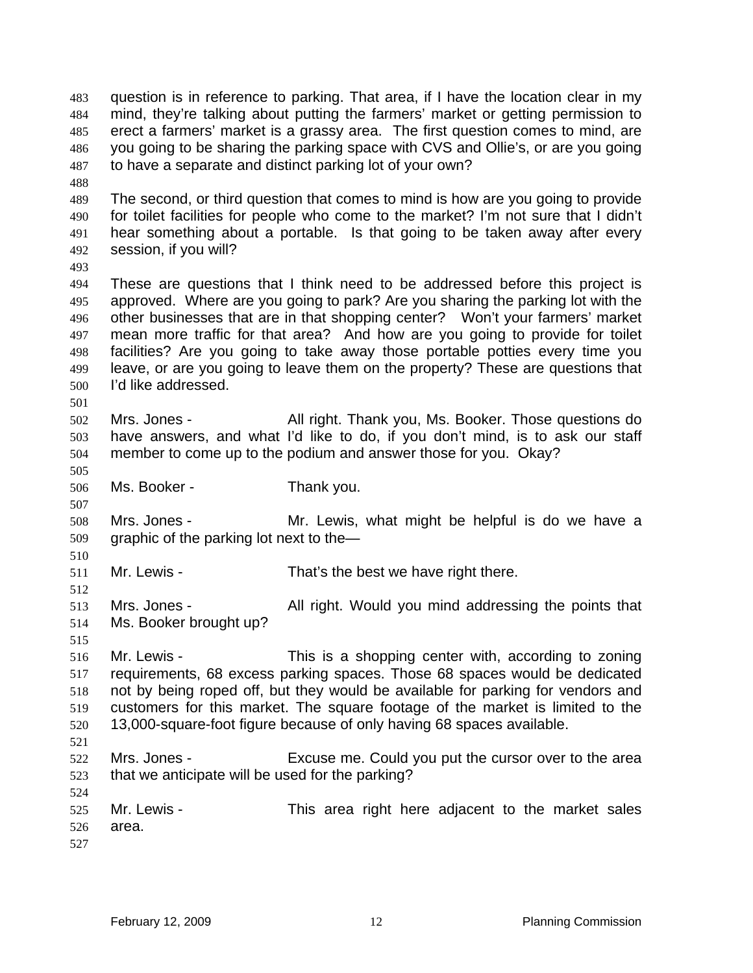question is in reference to parking. That area, if I have the location clear in my mind, they're talking about putting the farmers' market or getting permission to erect a farmers' market is a grassy area. The first question comes to mind, are you going to be sharing the parking space with CVS and Ollie's, or are you going to have a separate and distinct parking lot of your own? 483 484 485 486 487

- 489 490 491 492 The second, or third question that comes to mind is how are you going to provide for toilet facilities for people who come to the market? I'm not sure that I didn't hear something about a portable. Is that going to be taken away after every session, if you will?
- 493

501

505

507

510

512

515

524

488

494 495 496 497 498 499 500 These are questions that I think need to be addressed before this project is approved. Where are you going to park? Are you sharing the parking lot with the other businesses that are in that shopping center? Won't your farmers' market mean more traffic for that area? And how are you going to provide for toilet facilities? Are you going to take away those portable potties every time you leave, or are you going to leave them on the property? These are questions that I'd like addressed.

- 502 503 504 Mrs. Jones - All right. Thank you, Ms. Booker. Those questions do have answers, and what I'd like to do, if you don't mind, is to ask our staff member to come up to the podium and answer those for you. Okay?
- 506
	- Ms. Booker Thank you.
- 508 509 Mrs. Jones - Mr. Lewis, what might be helpful is do we have a graphic of the parking lot next to the—
- 511 Mr. Lewis - That's the best we have right there.
- 513 514 Mrs. Jones - All right. Would you mind addressing the points that Ms. Booker brought up?
- 516 517 518 519 520 521 Mr. Lewis - This is a shopping center with, according to zoning requirements, 68 excess parking spaces. Those 68 spaces would be dedicated not by being roped off, but they would be available for parking for vendors and customers for this market. The square footage of the market is limited to the 13,000-square-foot figure because of only having 68 spaces available.
- 522 523 Mrs. Jones - Excuse me. Could you put the cursor over to the area that we anticipate will be used for the parking?
- 525 526 527 Mr. Lewis - This area right here adjacent to the market sales area.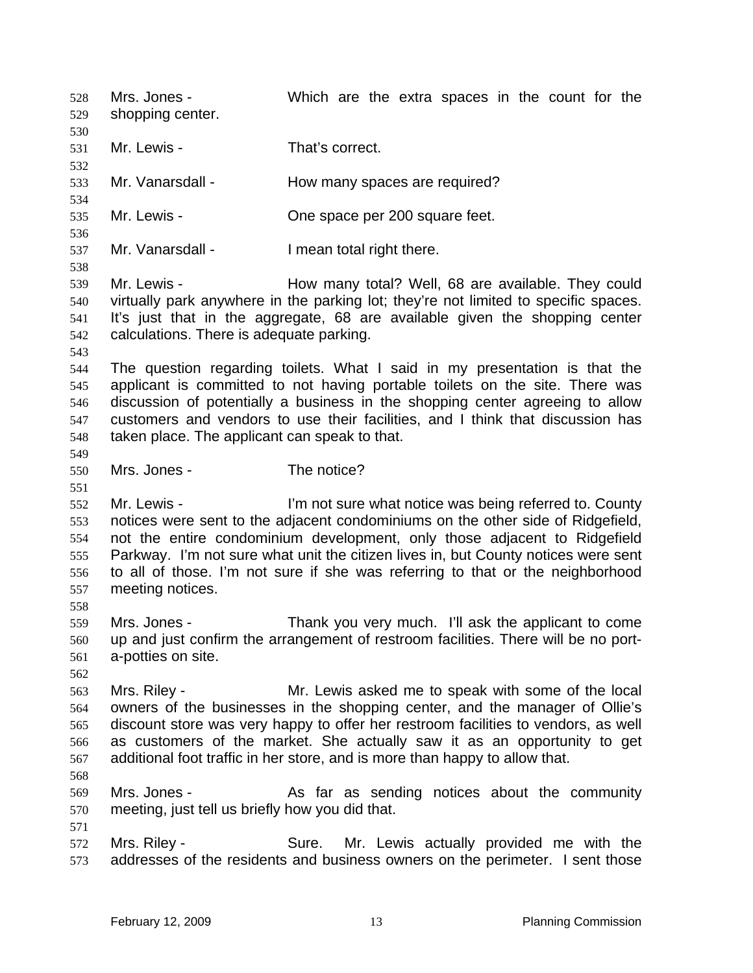Mrs. Jones - Which are the extra spaces in the count for the shopping center. 528 529 530 531 532 533 534 535 536 537 538 539 540 541 542 543 544 545 546 547 548 549 550 551 552 553 554 555 556 557 558 559 560 561 562 563 564 565 566 567 568 569 570 571 572 573 Mr. Lewis - That's correct. Mr. Vanarsdall - Thow many spaces are required? Mr. Lewis - Che space per 200 square feet. Mr. Vanarsdall - Thean total right there. Mr. Lewis - The Mow many total? Well, 68 are available. They could virtually park anywhere in the parking lot; they're not limited to specific spaces. It's just that in the aggregate, 68 are available given the shopping center calculations. There is adequate parking. The question regarding toilets. What I said in my presentation is that the applicant is committed to not having portable toilets on the site. There was discussion of potentially a business in the shopping center agreeing to allow customers and vendors to use their facilities, and I think that discussion has taken place. The applicant can speak to that. Mrs. Jones - The notice? Mr. Lewis - I'm not sure what notice was being referred to. County notices were sent to the adjacent condominiums on the other side of Ridgefield, not the entire condominium development, only those adjacent to Ridgefield Parkway. I'm not sure what unit the citizen lives in, but County notices were sent to all of those. I'm not sure if she was referring to that or the neighborhood meeting notices. Mrs. Jones - Thank you very much. I'll ask the applicant to come up and just confirm the arrangement of restroom facilities. There will be no porta-potties on site. Mrs. Riley - Mr. Lewis asked me to speak with some of the local owners of the businesses in the shopping center, and the manager of Ollie's discount store was very happy to offer her restroom facilities to vendors, as well as customers of the market. She actually saw it as an opportunity to get additional foot traffic in her store, and is more than happy to allow that. Mrs. Jones - As far as sending notices about the community meeting, just tell us briefly how you did that. Mrs. Riley - Sure. Mr. Lewis actually provided me with the addresses of the residents and business owners on the perimeter. I sent those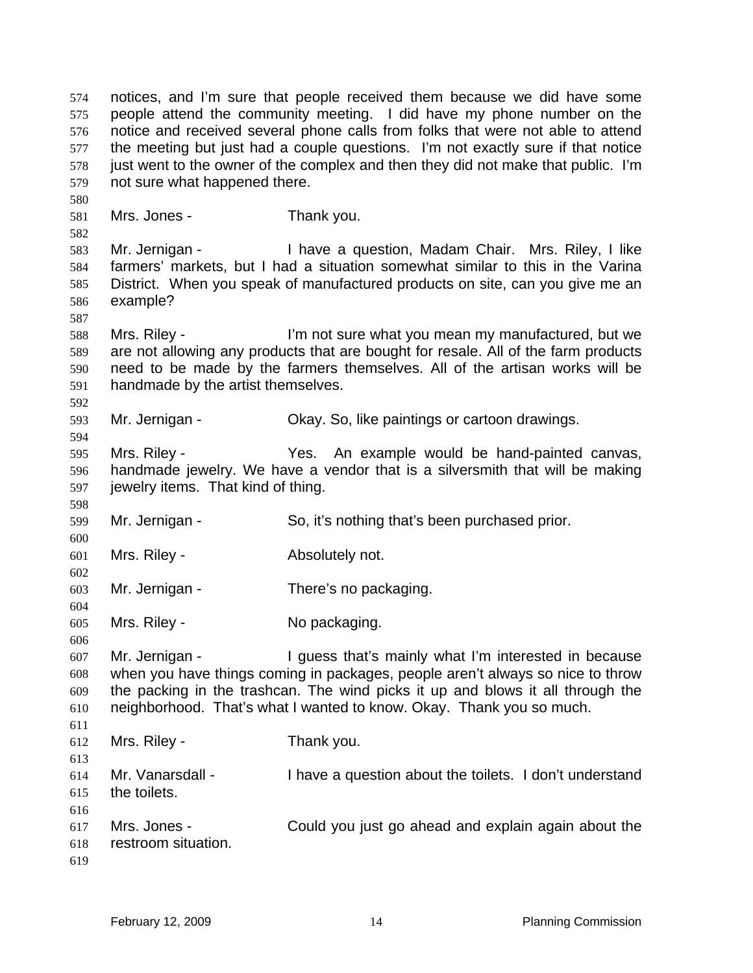notices, and I'm sure that people received them because we did have some people attend the community meeting. I did have my phone number on the notice and received several phone calls from folks that were not able to attend the meeting but just had a couple questions. I'm not exactly sure if that notice just went to the owner of the complex and then they did not make that public. I'm not sure what happened there. 574 575 576 577 578 579 580 581 582 583 584 585 586 587 588 589 590 591 592 593 594 595 596 597 598 599 600 601 602 603 604 605 606 607 608 609 610 611 612 613 614 615 616 617 618 619 Mrs. Jones - Thank you. Mr. Jernigan - Thave a question, Madam Chair. Mrs. Riley, I like farmers' markets, but I had a situation somewhat similar to this in the Varina District. When you speak of manufactured products on site, can you give me an example? Mrs. Riley - I'm not sure what you mean my manufactured, but we are not allowing any products that are bought for resale. All of the farm products need to be made by the farmers themselves. All of the artisan works will be handmade by the artist themselves. Mr. Jernigan - Ckay. So, like paintings or cartoon drawings. Mrs. Riley - The Yes. An example would be hand-painted canvas, handmade jewelry. We have a vendor that is a silversmith that will be making jewelry items. That kind of thing. Mr. Jernigan - So, it's nothing that's been purchased prior. Mrs. Riley - **Absolutely not.** Mr. Jernigan - There's no packaging. Mrs. Riley - No packaging. Mr. Jernigan - The Unit of the Unit of the Unit of the Unit of the Unit of the Unit of the Unit of the Unit of the Unit of the Unit of the Unit of the Unit of the Unit of the Unit of the Unit of the Unit of the Unit of the when you have things coming in packages, people aren't always so nice to throw the packing in the trashcan. The wind picks it up and blows it all through the neighborhood. That's what I wanted to know. Okay. Thank you so much. Mrs. Riley - Thank you. Mr. Vanarsdall - I have a question about the toilets. I don't understand the toilets. Mrs. Jones - Could you just go ahead and explain again about the restroom situation.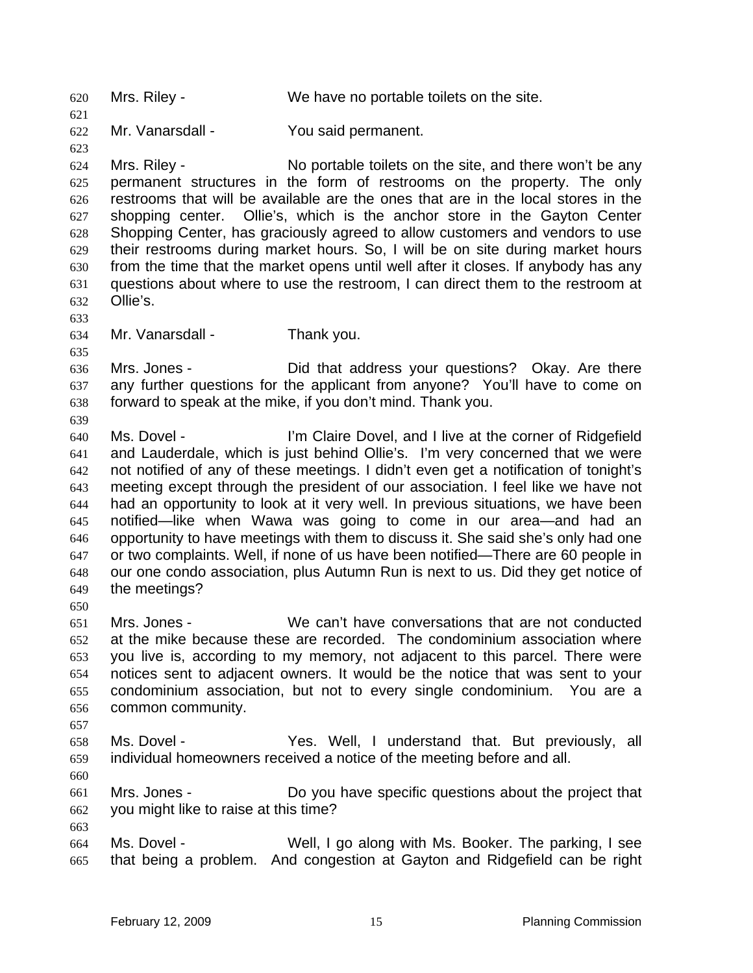620 Mrs. Riley - We have no portable toilets on the site. 621 622 623 624 625 626 627 628 629 630 631 632 633 634 635 636 637 638 639 640 641 642 643 644 645 646 647 648 649 650 651 652 653 654 655 656 657 658 659 660 661 662 663 664 665 Mr. Vanarsdall - You said permanent. Mrs. Riley - No portable toilets on the site, and there won't be any permanent structures in the form of restrooms on the property. The only restrooms that will be available are the ones that are in the local stores in the shopping center. Ollie's, which is the anchor store in the Gayton Center Shopping Center, has graciously agreed to allow customers and vendors to use their restrooms during market hours. So, I will be on site during market hours from the time that the market opens until well after it closes. If anybody has any questions about where to use the restroom, I can direct them to the restroom at Ollie's. Mr. Vanarsdall - Thank you. Mrs. Jones - Did that address your questions? Okay. Are there any further questions for the applicant from anyone? You'll have to come on forward to speak at the mike, if you don't mind. Thank you. Ms. Dovel - **I'm Claire Dovel, and I live at the corner of Ridgefield** and Lauderdale, which is just behind Ollie's. I'm very concerned that we were not notified of any of these meetings. I didn't even get a notification of tonight's meeting except through the president of our association. I feel like we have not had an opportunity to look at it very well. In previous situations, we have been notified—like when Wawa was going to come in our area—and had an opportunity to have meetings with them to discuss it. She said she's only had one or two complaints. Well, if none of us have been notified—There are 60 people in our one condo association, plus Autumn Run is next to us. Did they get notice of the meetings? Mrs. Jones - We can't have conversations that are not conducted at the mike because these are recorded. The condominium association where you live is, according to my memory, not adjacent to this parcel. There were notices sent to adjacent owners. It would be the notice that was sent to your condominium association, but not to every single condominium. You are a common community. Ms. Dovel - Yes. Well, I understand that. But previously, all individual homeowners received a notice of the meeting before and all. Mrs. Jones - Do you have specific questions about the project that you might like to raise at this time? Ms. Dovel - Well, I go along with Ms. Booker. The parking, I see that being a problem. And congestion at Gayton and Ridgefield can be right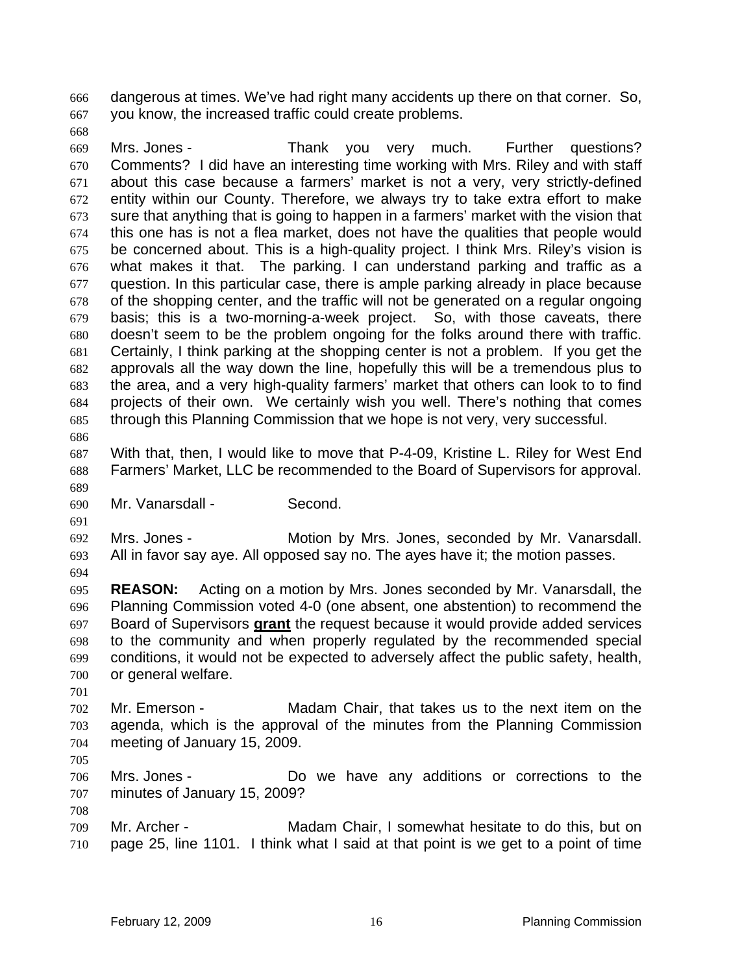dangerous at times. We've had right many accidents up there on that corner. So, you know, the increased traffic could create problems. 666 667

668

669 670 671 672 673 674 675 676 677 678 679 680 681 682 683 684 685 686 Mrs. Jones - Thank you very much. Further questions? Comments? I did have an interesting time working with Mrs. Riley and with staff about this case because a farmers' market is not a very, very strictly-defined entity within our County. Therefore, we always try to take extra effort to make sure that anything that is going to happen in a farmers' market with the vision that this one has is not a flea market, does not have the qualities that people would be concerned about. This is a high-quality project. I think Mrs. Riley's vision is what makes it that. The parking. I can understand parking and traffic as a question. In this particular case, there is ample parking already in place because of the shopping center, and the traffic will not be generated on a regular ongoing basis; this is a two-morning-a-week project. So, with those caveats, there doesn't seem to be the problem ongoing for the folks around there with traffic. Certainly, I think parking at the shopping center is not a problem. If you get the approvals all the way down the line, hopefully this will be a tremendous plus to the area, and a very high-quality farmers' market that others can look to to find projects of their own. We certainly wish you well. There's nothing that comes through this Planning Commission that we hope is not very, very successful.

687 688 689 With that, then, I would like to move that P-4-09, Kristine L. Riley for West End Farmers' Market, LLC be recommended to the Board of Supervisors for approval.

690 Mr. Vanarsdall - Second.

692 693 Mrs. Jones - Motion by Mrs. Jones, seconded by Mr. Vanarsdall. All in favor say aye. All opposed say no. The ayes have it; the motion passes.

694

691

695 696 **REASON:** Acting on a motion by Mrs. Jones seconded by Mr. Vanarsdall, the Planning Commission voted 4-0 (one absent, one abstention) to recommend the Board of Supervisors **grant** the request because it would provide added services to the community and when properly regulated by the recommended special conditions, it would not be expected to adversely affect the public safety, health, or general welfare. 697 698 699 700

701

702 703 704 Mr. Emerson - Madam Chair, that takes us to the next item on the agenda, which is the approval of the minutes from the Planning Commission meeting of January 15, 2009.

705

708

706 707 Mrs. Jones - The Mrs. Do we have any additions or corrections to the minutes of January 15, 2009?

709 710 Mr. Archer - Madam Chair, I somewhat hesitate to do this, but on page 25, line 1101. I think what I said at that point is we get to a point of time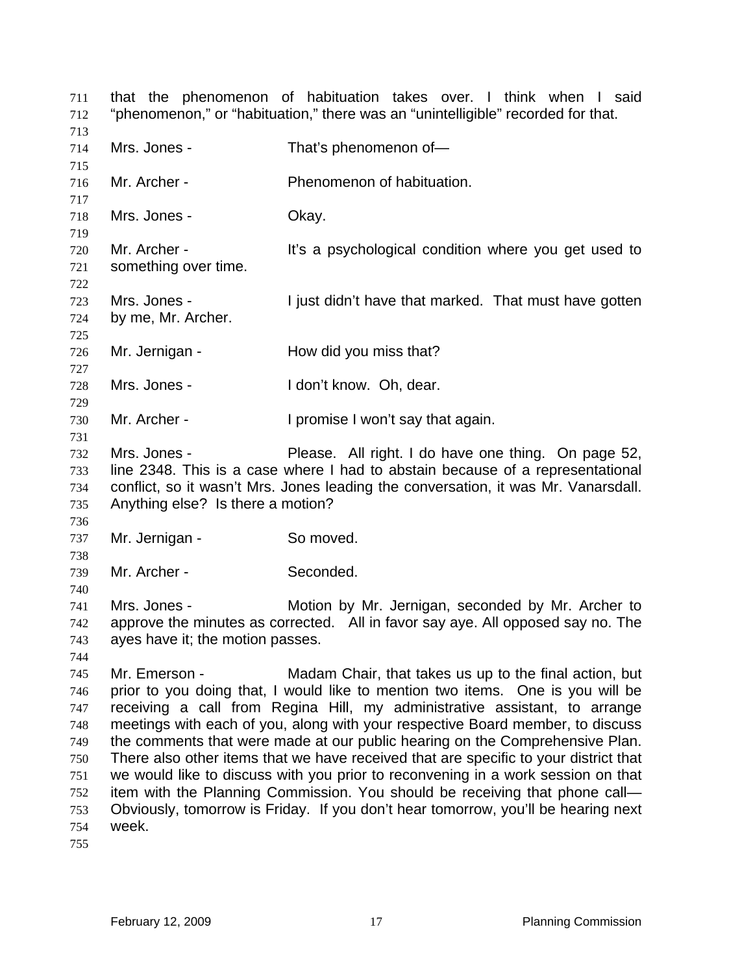that the phenomenon of habituation takes over. I think when I said "phenomenon," or "habituation," there was an "unintelligible" recorded for that. 711 712 713 714 715 716 717 718 719 720 721 722 723 724 725 726 727 728 729 730 731 732 733 734 735 736 737 738 739 740 741 742 743 744 745 746 747 748 749 750 751 752 753 754 755 Mrs. Jones - That's phenomenon of-Mr. Archer - Phenomenon of habituation. Mrs. Jones - Chay. Mr. Archer - The Music experience is a psychological condition where you get used to something over time. Mrs. Jones - I just didn't have that marked. That must have gotten by me, Mr. Archer. Mr. Jernigan - How did you miss that? Mrs. Jones - The Mrs. Jones - The Mrs. Dh, dear. Mr. Archer - I promise I won't say that again. Mrs. Jones - Please. All right. I do have one thing. On page 52, line 2348. This is a case where I had to abstain because of a representational conflict, so it wasn't Mrs. Jones leading the conversation, it was Mr. Vanarsdall. Anything else? Is there a motion? Mr. Jernigan - So moved. Mr. Archer - Seconded. Mrs. Jones - Motion by Mr. Jernigan, seconded by Mr. Archer to approve the minutes as corrected. All in favor say aye. All opposed say no. The ayes have it; the motion passes. Mr. Emerson - Madam Chair, that takes us up to the final action, but prior to you doing that, I would like to mention two items. One is you will be receiving a call from Regina Hill, my administrative assistant, to arrange meetings with each of you, along with your respective Board member, to discuss the comments that were made at our public hearing on the Comprehensive Plan. There also other items that we have received that are specific to your district that we would like to discuss with you prior to reconvening in a work session on that item with the Planning Commission. You should be receiving that phone call— Obviously, tomorrow is Friday. If you don't hear tomorrow, you'll be hearing next week.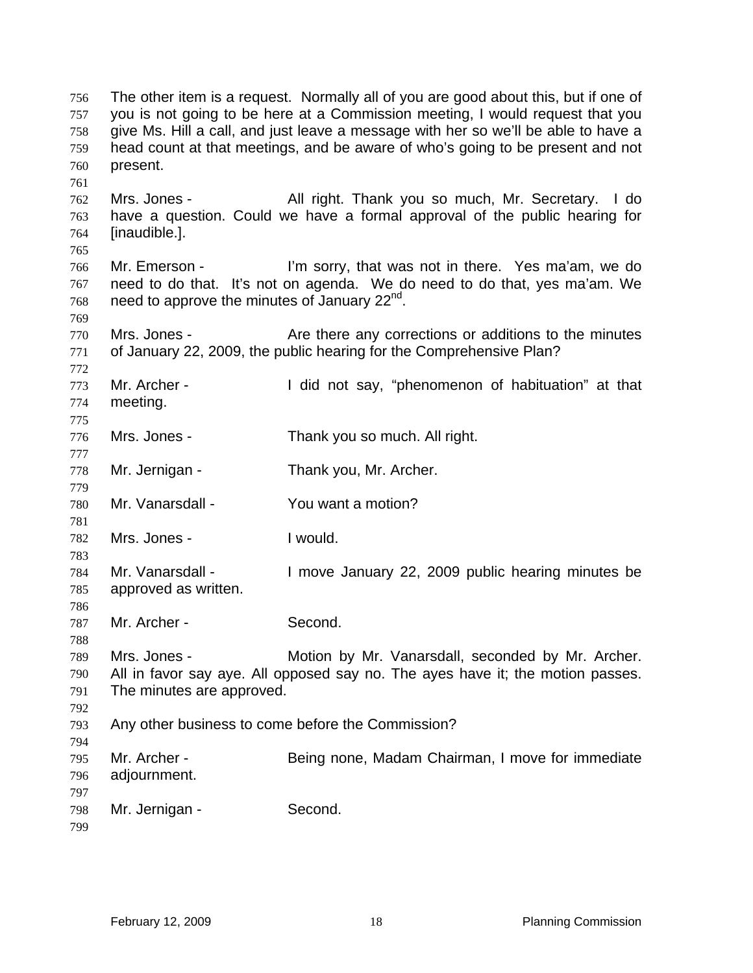The other item is a request. Normally all of you are good about this, but if one of you is not going to be here at a Commission meeting, I would request that you give Ms. Hill a call, and just leave a message with her so we'll be able to have a head count at that meetings, and be aware of who's going to be present and not present. 756 757 758 759 760 761 762 763 764 765 766 767 768 769 770 771 772 773 774 775 776 777 778 779 780 781 782 783 784 785 786 787 788 789 790 791 792 793 794 795 796 797 798 799 Mrs. Jones - All right. Thank you so much, Mr. Secretary. I do have a question. Could we have a formal approval of the public hearing for [inaudible.]. Mr. Emerson - I'm sorry, that was not in there. Yes ma'am, we do need to do that. It's not on agenda. We do need to do that, yes ma'am. We need to approve the minutes of January 22<sup>nd</sup>. Mrs. Jones - Are there any corrections or additions to the minutes of January 22, 2009, the public hearing for the Comprehensive Plan? Mr. Archer - I did not say, "phenomenon of habituation" at that meeting. Mrs. Jones - Thank you so much. All right. Mr. Jernigan - Thank you, Mr. Archer. Mr. Vanarsdall - You want a motion? Mrs. Jones - Twould. Mr. Vanarsdall - The Move January 22, 2009 public hearing minutes be approved as written. Mr. Archer - Second. Mrs. Jones - **Motion by Mr. Vanarsdall, seconded by Mr. Archer.** All in favor say aye. All opposed say no. The ayes have it; the motion passes. The minutes are approved. Any other business to come before the Commission? Mr. Archer - Being none, Madam Chairman, I move for immediate adjournment. Mr. Jernigan - Second.